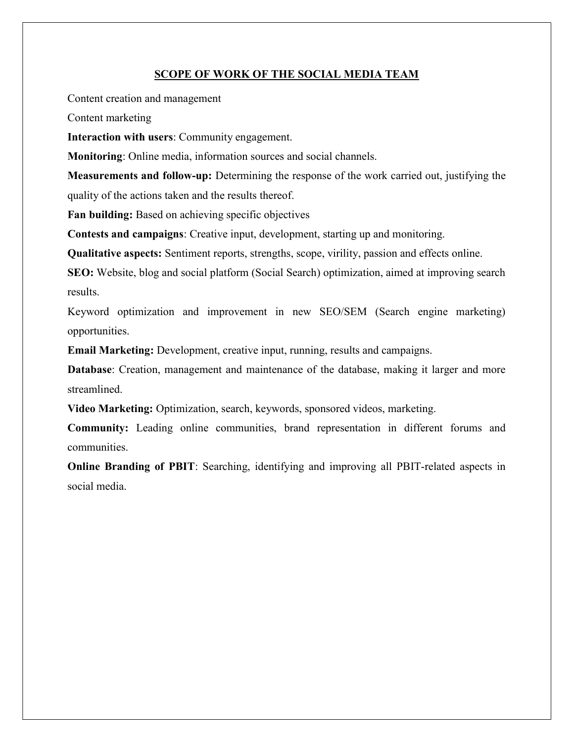#### SCOPE OF WORK OF THE SOCIAL MEDIA TEAM

Content creation and management

Content marketing

Interaction with users: Community engagement.

Monitoring: Online media, information sources and social channels.

Measurements and follow-up: Determining the response of the work carried out, justifying the quality of the actions taken and the results thereof.

Fan building: Based on achieving specific objectives

Contests and campaigns: Creative input, development, starting up and monitoring.

Qualitative aspects: Sentiment reports, strengths, scope, virility, passion and effects online.

SEO: Website, blog and social platform (Social Search) optimization, aimed at improving search results.

Keyword optimization and improvement in new SEO/SEM (Search engine marketing) opportunities.

Email Marketing: Development, creative input, running, results and campaigns.

Database: Creation, management and maintenance of the database, making it larger and more streamlined.

Video Marketing: Optimization, search, keywords, sponsored videos, marketing.

Community: Leading online communities, brand representation in different forums and communities.

Online Branding of PBIT: Searching, identifying and improving all PBIT-related aspects in social media.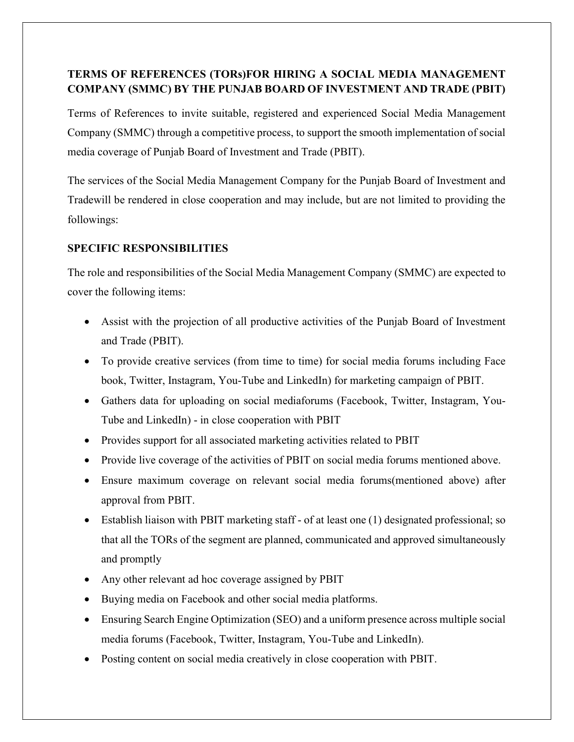## TERMS OF REFERENCES (TORs)FOR HIRING A SOCIAL MEDIA MANAGEMENT COMPANY (SMMC) BY THE PUNJAB BOARD OF INVESTMENT AND TRADE (PBIT)

Terms of References to invite suitable, registered and experienced Social Media Management Company (SMMC) through a competitive process, to support the smooth implementation of social media coverage of Punjab Board of Investment and Trade (PBIT).

The services of the Social Media Management Company for the Punjab Board of Investment and Tradewill be rendered in close cooperation and may include, but are not limited to providing the followings:

### SPECIFIC RESPONSIBILITIES

The role and responsibilities of the Social Media Management Company (SMMC) are expected to cover the following items:

- Assist with the projection of all productive activities of the Punjab Board of Investment and Trade (PBIT).
- To provide creative services (from time to time) for social media forums including Face book, Twitter, Instagram, You-Tube and LinkedIn) for marketing campaign of PBIT.
- Gathers data for uploading on social mediaforums (Facebook, Twitter, Instagram, You-Tube and LinkedIn) - in close cooperation with PBIT
- Provides support for all associated marketing activities related to PBIT
- Provide live coverage of the activities of PBIT on social media forums mentioned above.
- Ensure maximum coverage on relevant social media forums(mentioned above) after approval from PBIT.
- Establish liaison with PBIT marketing staff of at least one (1) designated professional; so that all the TORs of the segment are planned, communicated and approved simultaneously and promptly
- Any other relevant ad hoc coverage assigned by PBIT
- Buying media on Facebook and other social media platforms.
- Ensuring Search Engine Optimization (SEO) and a uniform presence across multiple social media forums (Facebook, Twitter, Instagram, You-Tube and LinkedIn).
- Posting content on social media creatively in close cooperation with PBIT.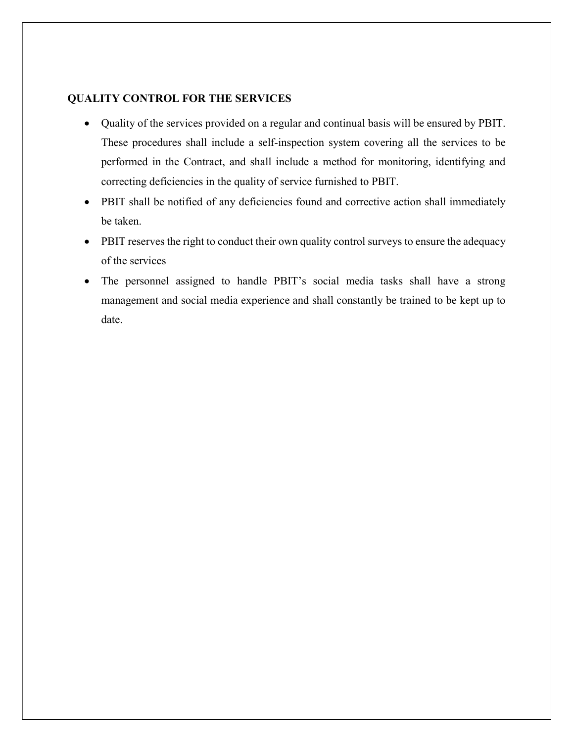#### QUALITY CONTROL FOR THE SERVICES

- Quality of the services provided on a regular and continual basis will be ensured by PBIT. These procedures shall include a self-inspection system covering all the services to be performed in the Contract, and shall include a method for monitoring, identifying and correcting deficiencies in the quality of service furnished to PBIT.
- PBIT shall be notified of any deficiencies found and corrective action shall immediately be taken.
- PBIT reserves the right to conduct their own quality control surveys to ensure the adequacy of the services
- The personnel assigned to handle PBIT's social media tasks shall have a strong management and social media experience and shall constantly be trained to be kept up to date.